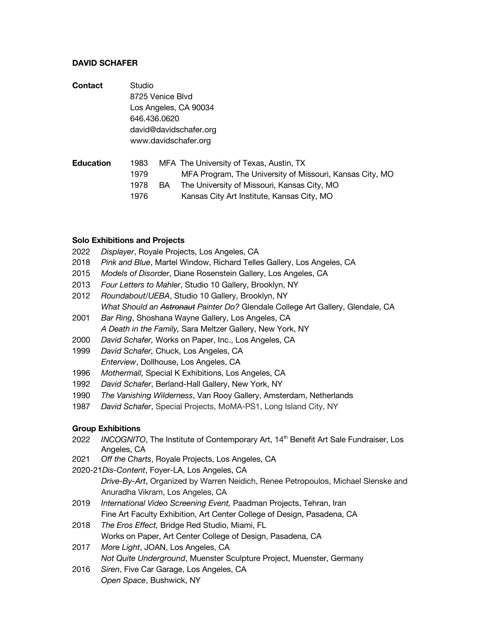## **DAVID SCHAFER**

| Contact | Studio                                                                              |      |                                            |                                             |  |  |                      |      |  |                                                          |  |
|---------|-------------------------------------------------------------------------------------|------|--------------------------------------------|---------------------------------------------|--|--|----------------------|------|--|----------------------------------------------------------|--|
|         | 8725 Venice Blvd<br>Los Angeles, CA 90034<br>646.436.0620<br>david@davidschafer.org |      |                                            |                                             |  |  |                      |      |  |                                                          |  |
|         |                                                                                     |      |                                            |                                             |  |  | www.davidschafer.org |      |  |                                                          |  |
|         |                                                                                     |      |                                            |                                             |  |  | <b>Education</b>     | 1983 |  | MFA The University of Texas, Austin, TX                  |  |
|         |                                                                                     |      |                                            |                                             |  |  |                      | 1979 |  | MFA Program, The University of Missouri, Kansas City, MO |  |
|         |                                                                                     | 1978 | BA.                                        | The University of Missouri, Kansas City, MO |  |  |                      |      |  |                                                          |  |
|         | 1976                                                                                |      | Kansas City Art Institute, Kansas City, MO |                                             |  |  |                      |      |  |                                                          |  |

#### **Solo Exhibitions and Projects**

- 2022 *Displayer*, Royale Projects, Los Angeles, CA
- 2018 *Pink and Blue*, Martel Window, Richard Telles Gallery, Los Angeles, CA
- 2015 *Models of Disorder*, Diane Rosenstein Gallery, Los Angeles, CA
- 2013 *Four Letters to Mahler*, Studio 10 Gallery, Brooklyn, NY
- 2012 *Roundabout/UEBA*, Studio 10 Gallery, Brooklyn, NY *What Should an Astronaut Painter Do?* Glendale College Art Gallery, Glendale, CA
- 2001 *Bar Ring*, Shoshana Wayne Gallery, Los Angeles, CA *A Death in the Family,* Sara Meltzer Gallery, New York, NY
- 2000 *David Schafer,* Works on Paper, Inc., Los Angeles, CA
- 1999 *David Schafer,* Chuck, Los Angeles, CA *Enterview*, Dollhouse, Los Angeles, CA
- 1996 *Mothermall,* Special K Exhibitions, Los Angeles, CA
- 1992 *David Schafer*, Berland-Hall Gallery, New York, NY
- 1990 *The Vanishing Wilderness*, Van Rooy Gallery, Amsterdam, Netherlands
- 1987 *David Schafer*, Special Projects, MoMA-PS1, Long Island City, NY

## **Group Exhibitions**

- 2022 *INCOGNITO*, The Institute of Contemporary Art, 14<sup>th</sup> Benefit Art Sale Fundraiser, Los Angeles, CA
- 2021 *Off the Charts*, Royale Projects, Los Angeles, CA
- 2020-21*Dis-Content*, Foyer-LA, Los Angeles, CA

*Drive-By-Art*, Organized by Warren Neidich, Renee Petropoulos, Michael Slenske and Anuradha Vikram, Los Angeles, CA

- 2019 *International Video Screening Event,* Paadman Projects, Tehran, Iran Fine Art Faculty Exhibition, Art Center College of Design, Pasadena, CA
- 2018 *The Eros Effect,* Bridge Red Studio, Miami, FL Works on Paper, Art Center College of Design, Pasadena, CA
- 2017 *More Light*, JOAN, Los Angeles, CA *Not Quite Underground*, Muenster Sculpture Project, Muenster, Germany
- 2016 *Siren*, Five Car Garage, Los Angeles, CA *Open Space*, Bushwick, NY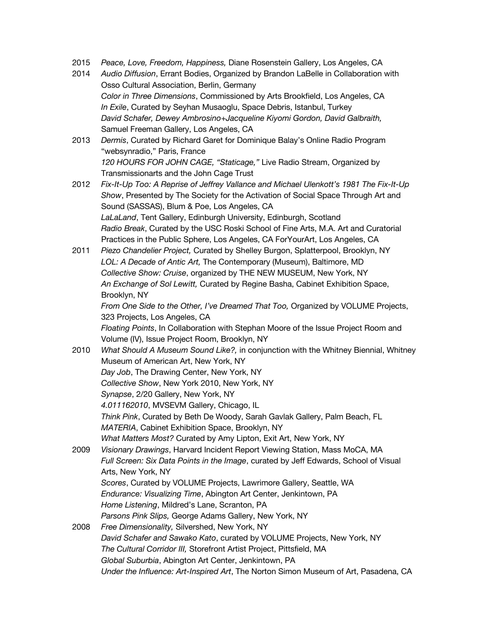- 2015 *Peace, Love, Freedom, Happiness,* Diane Rosenstein Gallery, Los Angeles, CA
- 2014 *Audio Diffusion*, Errant Bodies, Organized by Brandon LaBelle in Collaboration with Osso Cultural Association, Berlin, Germany *Color in Three Dimensions*, Commissioned by Arts Brookfield, Los Angeles, CA *In Exile*, Curated by Seyhan Musaoglu, Space Debris, Istanbul, Turkey *David Schafer, Dewey Ambrosino+Jacqueline Kiyomi Gordon, David Galbraith,* Samuel Freeman Gallery, Los Angeles, CA
- 2013 *Dermis*, Curated by Richard Garet for Dominique Balay's Online Radio Program "websynradio," Paris, France *120 HOURS FOR JOHN CAGE, "Staticage,"* Live Radio Stream, Organized by Transmissionarts and the John Cage Trust
- 2012 *Fix-It-Up Too: A Reprise of Jeffrey Vallance and Michael Ulenkott's 1981 The Fix-It-Up Show*, Presented by The Society for the Activation of Social Space Through Art and Sound (SASSAS), Blum & Poe, Los Angeles, CA *LaLaLand*, Tent Gallery, Edinburgh University, Edinburgh, Scotland *Radio Break*, Curated by the USC Roski School of Fine Arts, M.A. Art and Curatorial Practices in the Public Sphere, Los Angeles, CA ForYourArt, Los Angeles, CA
- 2011 *Piezo Chandelier Project,* Curated by Shelley Burgon, Splatterpool, Brooklyn, NY *LOL: A Decade of Antic Art,* The Contemporary (Museum), Baltimore, MD *Collective Show: Cruise*, organized by THE NEW MUSEUM, New York, NY *An Exchange of Sol Lewitt,* Curated by Regine Basha, Cabinet Exhibition Space, Brooklyn, NY

*From One Side to the Other, I've Dreamed That Too,* Organized by VOLUME Projects, 323 Projects, Los Angeles, CA

*Floating Points*, In Collaboration with Stephan Moore of the Issue Project Room and Volume (IV), Issue Project Room, Brooklyn, NY

- 2010 *What Should A Museum Sound Like?,* in conjunction with the Whitney Biennial, Whitney Museum of American Art, New York, NY *Day Job*, The Drawing Center, New York, NY *Collective Show*, New York 2010, New York, NY *Synapse*, 2/20 Gallery, New York, NY *4.011162010*, MVSEVM Gallery, Chicago, IL *Think Pink*, Curated by Beth De Woody, Sarah Gavlak Gallery, Palm Beach, FL *MATERIA*, Cabinet Exhibition Space, Brooklyn, NY *What Matters Most?* Curated by Amy Lipton, Exit Art, New York, NY 2009 *Visionary Drawings*, Harvard Incident Report Viewing Station, Mass MoCA, MA
- *Full Screen: Six Data Points in the Image*, curated by Jeff Edwards, School of Visual Arts, New York, NY *Scores*, Curated by VOLUME Projects, Lawrimore Gallery, Seattle, WA *Endurance: Visualizing Time*, Abington Art Center, Jenkintown, PA *Home Listening*, Mildred's Lane, Scranton, PA *Parsons Pink Slips,* George Adams Gallery, New York, NY
- 2008 *Free Dimensionality,* Silvershed, New York, NY *David Schafer and Sawako Kato*, curated by VOLUME Projects, New York, NY *The Cultural Corridor III,* Storefront Artist Project, Pittsfield, MA *Global Suburbia*, Abington Art Center, Jenkintown, PA *Under the Influence: Art-Inspired Art*, The Norton Simon Museum of Art, Pasadena, CA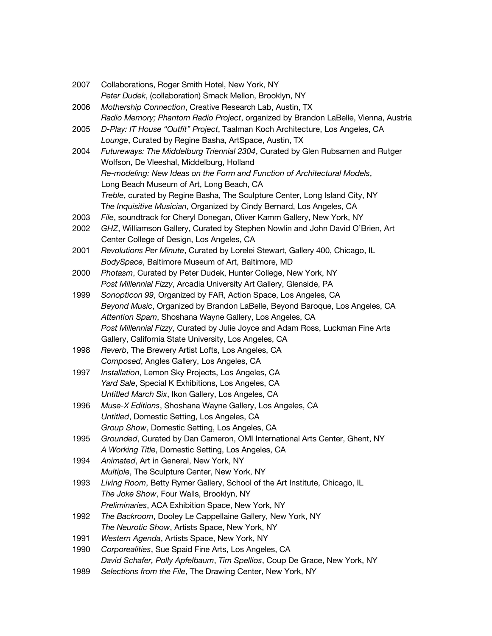| 2007 | Collaborations, Roger Smith Hotel, New York, NY                                    |
|------|------------------------------------------------------------------------------------|
|      | Peter Dudek, (collaboration) Smack Mellon, Brooklyn, NY                            |
| 2006 | Mothership Connection, Creative Research Lab, Austin, TX                           |
|      | Radio Memory; Phantom Radio Project, organized by Brandon LaBelle, Vienna, Austria |
| 2005 | D-Play: IT House "Outfit" Project, Taalman Koch Architecture, Los Angeles, CA      |
|      | Lounge, Curated by Regine Basha, ArtSpace, Austin, TX                              |
| 2004 | Futureways: The Middelburg Triennial 2304, Curated by Glen Rubsamen and Rutger     |
|      | Wolfson, De Vleeshal, Middelburg, Holland                                          |
|      | Re-modeling: New Ideas on the Form and Function of Architectural Models,           |
|      | Long Beach Museum of Art, Long Beach, CA                                           |
|      | Treble, curated by Regine Basha, The Sculpture Center, Long Island City, NY        |
|      | The Inquisitive Musician, Organized by Cindy Bernard, Los Angeles, CA              |
| 2003 | File, soundtrack for Cheryl Donegan, Oliver Kamm Gallery, New York, NY             |
| 2002 | GHZ, Williamson Gallery, Curated by Stephen Nowlin and John David O'Brien, Art     |
|      | Center College of Design, Los Angeles, CA                                          |
| 2001 | Revolutions Per Minute, Curated by Lorelei Stewart, Gallery 400, Chicago, IL       |
|      | BodySpace, Baltimore Museum of Art, Baltimore, MD                                  |
| 2000 | Photasm, Curated by Peter Dudek, Hunter College, New York, NY                      |
|      | Post Millennial Fizzy, Arcadia University Art Gallery, Glenside, PA                |
| 1999 | Sonopticon 99, Organized by FAR, Action Space, Los Angeles, CA                     |
|      | Beyond Music, Organized by Brandon LaBelle, Beyond Baroque, Los Angeles, CA        |
|      | Attention Spam, Shoshana Wayne Gallery, Los Angeles, CA                            |
|      | Post Millennial Fizzy, Curated by Julie Joyce and Adam Ross, Luckman Fine Arts     |
|      | Gallery, California State University, Los Angeles, CA                              |
| 1998 | Reverb, The Brewery Artist Lofts, Los Angeles, CA                                  |
|      | Composed, Angles Gallery, Los Angeles, CA                                          |
| 1997 | Installation, Lemon Sky Projects, Los Angeles, CA                                  |
|      | Yard Sale, Special K Exhibitions, Los Angeles, CA                                  |
|      | Untitled March Six, Ikon Gallery, Los Angeles, CA                                  |
| 1996 | Muse-X Editions, Shoshana Wayne Gallery, Los Angeles, CA                           |
|      | Untitled, Domestic Setting, Los Angeles, CA                                        |
|      | Group Show, Domestic Setting, Los Angeles, CA                                      |
| 1995 | Grounded, Curated by Dan Cameron, OMI International Arts Center, Ghent, NY         |
|      | A Working Title, Domestic Setting, Los Angeles, CA                                 |
| 1994 | Animated, Art in General, New York, NY                                             |
|      | Multiple, The Sculpture Center, New York, NY                                       |
| 1993 | Living Room, Betty Rymer Gallery, School of the Art Institute, Chicago, IL         |
|      | The Joke Show, Four Walls, Brooklyn, NY                                            |
|      | Preliminaries, ACA Exhibition Space, New York, NY                                  |
| 1992 | The Backroom, Dooley Le Cappellaine Gallery, New York, NY                          |
|      | The Neurotic Show, Artists Space, New York, NY                                     |
| 1991 | Western Agenda, Artists Space, New York, NY                                        |
| 1990 | Corporealities, Sue Spaid Fine Arts, Los Angeles, CA                               |
|      | David Schafer, Polly Apfelbaum, Tim Spellios, Coup De Grace, New York, NY          |
| 1989 | Selections from the File, The Drawing Center, New York, NY                         |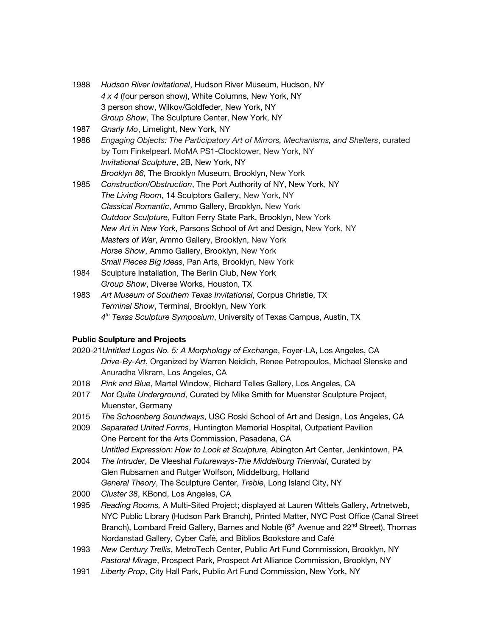- 1988 *Hudson River Invitational*, Hudson River Museum, Hudson, NY *4 x 4* (four person show), White Columns, New York, NY 3 person show, Wilkov/Goldfeder, New York, NY *Group Show*, The Sculpture Center, New York, NY
- 1987 *Gnarly Mo*, Limelight, New York, NY
- 1986 *Engaging Objects: The Participatory Art of Mirrors, Mechanisms, and Shelters*, curated by Tom Finkelpearl. MoMA PS1-Clocktower, New York, NY *Invitational Sculpture*, 2B, New York, NY *Brooklyn 86,* The Brooklyn Museum, Brooklyn, New York
- 1985 *Construction/Obstruction*, The Port Authority of NY, New York, NY *The Living Room*, 14 Sculptors Gallery, New York, NY *Classical Romantic*, Ammo Gallery, Brooklyn, New York *Outdoor Sculpture*, Fulton Ferry State Park, Brooklyn, New York *New Art in New York*, Parsons School of Art and Design, New York, NY *Masters of War*, Ammo Gallery, Brooklyn, New York *Horse Show*, Ammo Gallery, Brooklyn, New York *Small Pieces Big Ideas*, Pan Arts, Brooklyn, New York
- 1984 Sculpture Installation, The Berlin Club, New York *Group Show*, Diverse Works, Houston, TX
- 1983 *Art Museum of Southern Texas Invitational*, Corpus Christie, TX *Terminal Show*, Terminal, Brooklyn, New York *4th Texas Sculpture Symposium*, University of Texas Campus, Austin, TX

## **Public Sculpture and Projects**

- 2020-21*Untitled Logos No. 5: A Morphology of Exchange*, Foyer-LA, Los Angeles, CA *Drive-By-Art*, Organized by Warren Neidich, Renee Petropoulos, Michael Slenske and Anuradha Vikram, Los Angeles, CA
- 2018 *Pink and Blue*, Martel Window, Richard Telles Gallery, Los Angeles, CA
- 2017 *Not Quite Underground*, Curated by Mike Smith for Muenster Sculpture Project, Muenster, Germany
- 2015 *The Schoenberg Soundways*, USC Roski School of Art and Design, Los Angeles, CA
- 2009 *Separated United Forms*, Huntington Memorial Hospital, Outpatient Pavilion One Percent for the Arts Commission, Pasadena, CA *Untitled Expression: How to Look at Sculpture,* Abington Art Center, Jenkintown, PA
- 2004 *The Intruder*, De Vleeshal *Futureways-The Middelburg Triennial*, Curated by Glen Rubsamen and Rutger Wolfson, Middelburg, Holland *General Theory*, The Sculpture Center, *Treble*, Long Island City, NY
- 2000 *Cluster 38*, KBond, Los Angeles, CA
- 1995 *Reading Rooms,* A Multi-Sited Project; displayed at Lauren Wittels Gallery, Artnetweb, NYC Public Library (Hudson Park Branch), Printed Matter, NYC Post Office (Canal Street Branch), Lombard Freid Gallery, Barnes and Noble (6<sup>th</sup> Avenue and 22<sup>nd</sup> Street), Thomas Nordanstad Gallery, Cyber Café, and Biblios Bookstore and Café
- 1993 *New Century Trellis*, MetroTech Center, Public Art Fund Commission, Brooklyn, NY *Pastoral Mirage*, Prospect Park, Prospect Art Alliance Commission, Brooklyn, NY
- 1991 *Liberty Prop*, City Hall Park, Public Art Fund Commission, New York, NY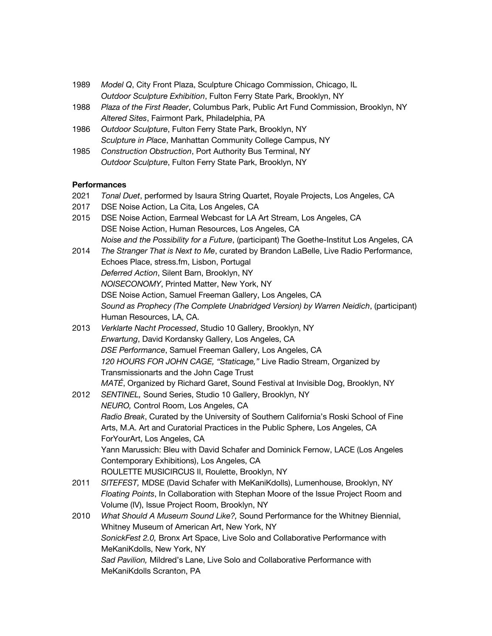- 1989 *Model Q*, City Front Plaza, Sculpture Chicago Commission, Chicago, IL *Outdoor Sculpture Exhibition*, Fulton Ferry State Park, Brooklyn, NY
- 1988 *Plaza of the First Reader*, Columbus Park, Public Art Fund Commission, Brooklyn, NY *Altered Sites*, Fairmont Park, Philadelphia, PA
- 1986 *Outdoor Sculpture*, Fulton Ferry State Park, Brooklyn, NY *Sculpture in Place*, Manhattan Community College Campus, NY
- 1985 *Construction Obstruction*, Port Authority Bus Terminal, NY *Outdoor Sculpture*, Fulton Ferry State Park, Brooklyn, NY

## **Performances**

- 2021 *Tonal Duet*, performed by Isaura String Quartet, Royale Projects, Los Angeles, CA
- 2017 DSE Noise Action, La Cita, Los Angeles, CA
- 2015 DSE Noise Action, Earmeal Webcast for LA Art Stream, Los Angeles, CA DSE Noise Action, Human Resources, Los Angeles, CA *Noise and the Possibility for a Future*, (participant) The Goethe-Institut Los Angeles, CA
- 2014 *The Stranger That is Next to Me*, curated by Brandon LaBelle, Live Radio Performance, Echoes Place, stress.fm, Lisbon, Portugal *Deferred Action*, Silent Barn, Brooklyn, NY *NOISECONOMY*, Printed Matter, New York, NY DSE Noise Action, Samuel Freeman Gallery, Los Angeles, CA *Sound as Prophecy (The Complete Unabridged Version) by Warren Neidich*, (participant) Human Resources, LA, CA.
- 2013 *Verklarte Nacht Processed*, Studio 10 Gallery, Brooklyn, NY *Erwartung*, David Kordansky Gallery, Los Angeles, CA *DSE Performance*, Samuel Freeman Gallery, Los Angeles, CA *120 HOURS FOR JOHN CAGE, "Staticage,"* Live Radio Stream, Organized by Transmissionarts and the John Cage Trust *MATÉ*, Organized by Richard Garet, Sound Festival at Invisible Dog, Brooklyn, NY
- 2012 *SENTINEL,* Sound Series, Studio 10 Gallery, Brooklyn, NY *NEURO,* Control Room, Los Angeles, CA *Radio Break*, Curated by the University of Southern California's Roski School of Fine Arts, M.A. Art and Curatorial Practices in the Public Sphere, Los Angeles, CA ForYourArt, Los Angeles, CA Yann Marussich: Bleu with David Schafer and Dominick Fernow, LACE (Los Angeles Contemporary Exhibitions), Los Angeles, CA ROULETTE MUSICIRCUS II, Roulette, Brooklyn, NY
- 2011 *SITEFEST,* MDSE (David Schafer with MeKaniKdolls), Lumenhouse, Brooklyn, NY *Floating Points*, In Collaboration with Stephan Moore of the Issue Project Room and Volume (IV), Issue Project Room, Brooklyn, NY
- 2010 *What Should A Museum Sound Like?,* Sound Performance for the Whitney Biennial, Whitney Museum of American Art, New York, NY *SonickFest 2.0,* Bronx Art Space, Live Solo and Collaborative Performance with MeKaniKdolls, New York, NY *Sad Pavilion,* Mildred's Lane, Live Solo and Collaborative Performance with MeKaniKdolls Scranton, PA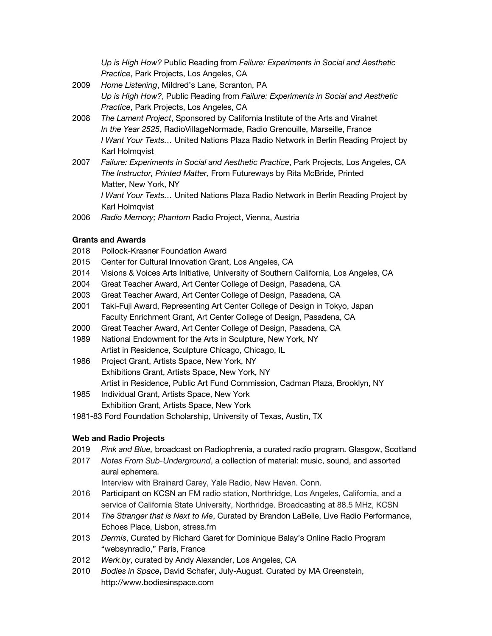*Up is High How?* Public Reading from *Failure: Experiments in Social and Aesthetic Practice*, Park Projects, Los Angeles, CA

- 2009 *Home Listening*, Mildred's Lane, Scranton, PA *Up is High How?*, Public Reading from *Failure: Experiments in Social and Aesthetic Practice*, Park Projects, Los Angeles, CA
- 2008 *The Lament Project*, Sponsored by California Institute of the Arts and Viralnet *In the Year 2525*, RadioVillageNormade, Radio Grenouille, Marseille, France *I Want Your Texts…* United Nations Plaza Radio Network in Berlin Reading Project by Karl Holmqvist
- 2007 *Failure: Experiments in Social and Aesthetic Practice*, Park Projects, Los Angeles, CA *The Instructor, Printed Matter,* From Futureways by Rita McBride, Printed Matter, New York, NY *I Want Your Texts…* United Nations Plaza Radio Network in Berlin Reading Project by
- 2006 *Radio Memory; Phantom* Radio Project, Vienna, Austria

#### **Grants and Awards**

Karl Holmqvist

- 2018 Pollock-Krasner Foundation Award
- 2015 Center for Cultural Innovation Grant, Los Angeles, CA
- 2014 Visions & Voices Arts Initiative, University of Southern California, Los Angeles, CA
- 2004 Great Teacher Award, Art Center College of Design, Pasadena, CA
- 2003 Great Teacher Award, Art Center College of Design, Pasadena, CA
- 2001 Taki-Fuji Award, Representing Art Center College of Design in Tokyo, Japan Faculty Enrichment Grant, Art Center College of Design, Pasadena, CA
- 2000 Great Teacher Award, Art Center College of Design, Pasadena, CA
- 1989 National Endowment for the Arts in Sculpture, New York, NY Artist in Residence, Sculpture Chicago, Chicago, IL
- 1986 Project Grant, Artists Space, New York, NY Exhibitions Grant, Artists Space, New York, NY Artist in Residence, Public Art Fund Commission, Cadman Plaza, Brooklyn, NY
- 1985 Individual Grant, Artists Space, New York Exhibition Grant, Artists Space, New York
- 1981-83 Ford Foundation Scholarship, University of Texas, Austin, TX

#### **Web and Radio Projects**

- 2019 *Pink and Blue,* broadcast on Radiophrenia, a curated radio program. Glasgow, Scotland
- 2017 *Notes From Sub-Underground*, a collection of material: music, sound, and assorted aural ephemera.

Interview with Brainard Carey, Yale Radio, New Haven. Conn.

- 2016 Participant on KCSN an FM radio station, Northridge, Los Angeles, California, and a service of California State University, Northridge. Broadcasting at 88.5 MHz, KCSN
- 2014 *The Stranger that is Next to Me*, Curated by Brandon LaBelle, Live Radio Performance, Echoes Place, Lisbon, stress.fm
- 2013 *Dermis*, Curated by Richard Garet for Dominique Balay's Online Radio Program "websynradio," Paris, France
- 2012 *Werk.by*, curated by Andy Alexander, Los Angeles, CA
- 2010 *Bodies in Space***,** David Schafer, July-August. Curated by MA Greenstein, http://www.bodiesinspace.com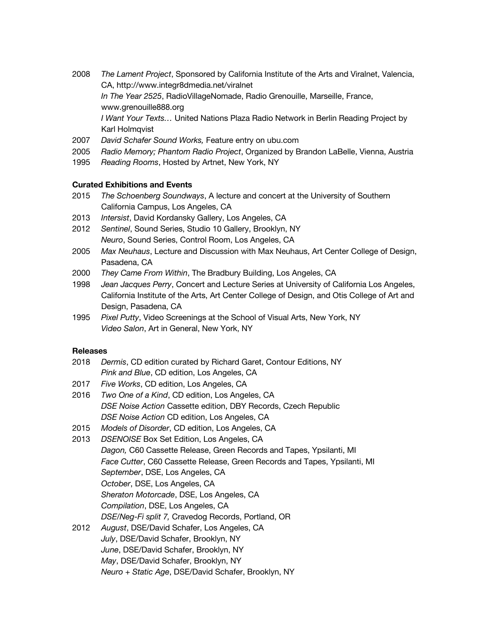- 2008 *The Lament Project*, Sponsored by California Institute of the Arts and Viralnet, Valencia, CA, http://www.integr8dmedia.net/viralnet *In The Year 2525*, RadioVillageNomade, Radio Grenouille, Marseille, France, www.grenouille888.org *I Want Your Texts…* United Nations Plaza Radio Network in Berlin Reading Project by Karl Holmqvist
- 2007 *David Schafer Sound Works,* Feature entry on ubu.com
- 2005 *Radio Memory; Phantom Radio Project*, Organized by Brandon LaBelle, Vienna, Austria
- 1995 *Reading Rooms*, Hosted by Artnet, New York, NY

#### **Curated Exhibitions and Events**

- 2015 *The Schoenberg Soundways*, A lecture and concert at the University of Southern California Campus, Los Angeles, CA
- 2013 *Intersist*, David Kordansky Gallery, Los Angeles, CA
- 2012 *Sentinel*, Sound Series, Studio 10 Gallery, Brooklyn, NY *Neuro*, Sound Series, Control Room, Los Angeles, CA
- 2005 *Max Neuhaus*, Lecture and Discussion with Max Neuhaus, Art Center College of Design, Pasadena, CA
- 2000 *They Came From Within*, The Bradbury Building, Los Angeles, CA
- 1998 *Jean Jacques Perry*, Concert and Lecture Series at University of California Los Angeles, California Institute of the Arts, Art Center College of Design, and Otis College of Art and Design, Pasadena, CA
- 1995 *Pixel Putty*, Video Screenings at the School of Visual Arts, New York, NY *Video Salon*, Art in General, New York, NY

#### **Releases**

- 2018 *Dermis*, CD edition curated by Richard Garet, Contour Editions, NY *Pink and Blue*, CD edition, Los Angeles, CA
- 2017 *Five Works*, CD edition, Los Angeles, CA
- 2016 *Two One of a Kind*, CD edition, Los Angeles, CA *DSE Noise Action* Cassette edition, DBY Records, Czech Republic *DSE Noise Action* CD edition, Los Angeles, CA
- 2015 *Models of Disorder*, CD edition, Los Angeles, CA
- 2013 *DSENOISE* Box Set Edition, Los Angeles, CA *Dagon,* C60 Cassette Release, Green Records and Tapes, Ypsilanti, MI *Face Cutter*, C60 Cassette Release, Green Records and Tapes, Ypsilanti, MI *September*, DSE, Los Angeles, CA *October*, DSE, Los Angeles, CA *Sheraton Motorcade*, DSE, Los Angeles, CA *Compilation*, DSE, Los Angeles, CA *DSE/Neg-Fi split 7,* Cravedog Records, Portland, OR
- 2012 *August*, DSE/David Schafer, Los Angeles, CA *July*, DSE/David Schafer, Brooklyn, NY *June*, DSE/David Schafer, Brooklyn, NY *May*, DSE/David Schafer, Brooklyn, NY
	- *Neuro + Static Age*, DSE/David Schafer, Brooklyn, NY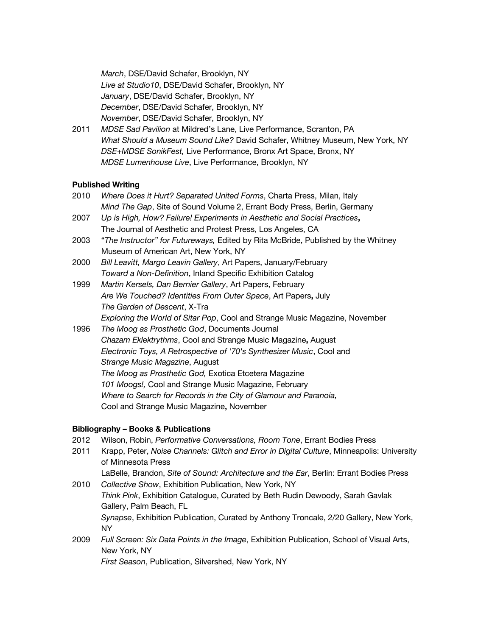*March*, DSE/David Schafer, Brooklyn, NY *Live at Studio10*, DSE/David Schafer, Brooklyn, NY *January*, DSE/David Schafer, Brooklyn, NY *December*, DSE/David Schafer, Brooklyn, NY *November*, DSE/David Schafer, Brooklyn, NY

2011 *MDSE Sad Pavilion* at Mildred's Lane, Live Performance, Scranton, PA *What Should a Museum Sound Like?* David Schafer, Whitney Museum, New York, NY *DSE+MDSE SonikFest,* Live Performance, Bronx Art Space, Bronx, NY *MDSE Lumenhouse Live*, Live Performance, Brooklyn, NY

## **Published Writing**

- 2010 *Where Does it Hurt? Separated United Forms*, Charta Press, Milan, Italy *Mind The Gap*, Site of Sound Volume 2, Errant Body Press, Berlin, Germany
- 2007 *Up is High, How? Failure! Experiments in Aesthetic and Social Practices***,** The Journal of Aesthetic and Protest Press, Los Angeles, CA
- 2003 "*The Instructor" for Futureways,* Edited by Rita McBride, Published by the Whitney Museum of American Art, New York, NY
- 2000 *Bill Leavitt, Margo Leavin Gallery*, Art Papers, January/February *Toward a Non-Definition*, Inland Specific Exhibition Catalog
- 1999 *Martin Kersels, Dan Bernier Gallery*, Art Papers, February *Are We Touched? Identities From Outer Space*, Art Papers**,** July *The Garden of Descent*, X-Tra *Exploring the World of Sitar Pop*, Cool and Strange Music Magazine, November
- 1996 *The Moog as Prosthetic God*, Documents Journal *Chazam Eklektrythms*, Cool and Strange Music Magazine**,** August *Electronic Toys, A Retrospective of '70's Synthesizer Music*, Cool and *Strange Music Magazine*, August *The Moog as Prosthetic God,* Exotica Etcetera Magazine *101 Moogs!,* Cool and Strange Music Magazine, February *Where to Search for Records in the City of Glamour and Paranoia,* Cool and Strange Music Magazine**,** November

#### **Bibliography – Books & Publications**

- 2012 Wilson, Robin, *Performative Conversations, Room Tone*, Errant Bodies Press
- 2011 Krapp, Peter, *Noise Channels: Glitch and Error in Digital Culture*, Minneapolis: University of Minnesota Press
	- LaBelle, Brandon, *Site of Sound: Architecture and the Ear*, Berlin: Errant Bodies Press
- 2010 *Collective Show*, Exhibition Publication, New York, NY *Think Pink*, Exhibition Catalogue, Curated by Beth Rudin Dewoody, Sarah Gavlak Gallery, Palm Beach, FL *Synapse*, Exhibition Publication, Curated by Anthony Troncale, 2/20 Gallery, New York, NY
- 2009 *Full Screen: Six Data Points in the Image*, Exhibition Publication, School of Visual Arts, New York, NY *First Season*, Publication, Silvershed, New York, NY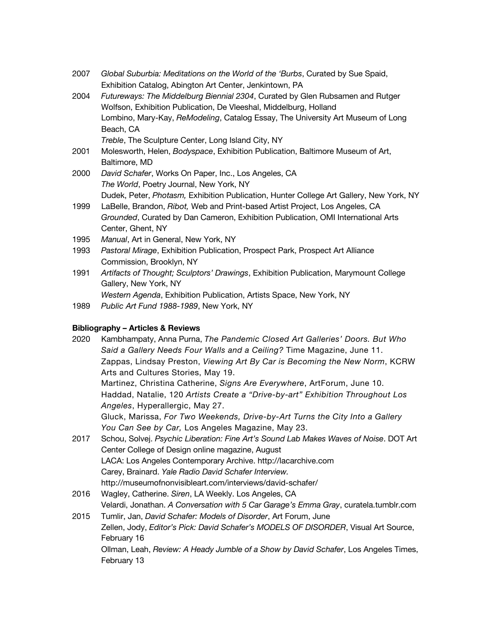- 2007 *Global Suburbia: Meditations on the World of the 'Burbs*, Curated by Sue Spaid, Exhibition Catalog, Abington Art Center, Jenkintown, PA
- 2004 *Futureways: The Middelburg Biennial 2304*, Curated by Glen Rubsamen and Rutger Wolfson, Exhibition Publication, De Vleeshal, Middelburg, Holland Lombino, Mary-Kay, *ReModeling*, Catalog Essay, The University Art Museum of Long Beach, CA *Treble*, The Sculpture Center, Long Island City, NY
- 2001 Molesworth, Helen, *Bodyspace*, Exhibition Publication, Baltimore Museum of Art, Baltimore, MD
- 2000 *David Schafer*, Works On Paper, Inc., Los Angeles, CA *The World*, Poetry Journal, New York, NY Dudek, Peter, *Photasm,* Exhibition Publication, Hunter College Art Gallery, New York, NY
- 1999 LaBelle, Brandon, *Ribot,* Web and Print-based Artist Project, Los Angeles, CA *Grounded*, Curated by Dan Cameron, Exhibition Publication, OMI International Arts Center, Ghent, NY
- 1995 *Manual*, Art in General, New York, NY
- 1993 *Pastoral Mirage*, Exhibition Publication, Prospect Park, Prospect Art Alliance Commission, Brooklyn, NY
- 1991 *Artifacts of Thought; Sculptors' Drawings*, Exhibition Publication, Marymount College Gallery, New York, NY *Western Agenda*, Exhibition Publication, Artists Space, New York, NY
- 1989 *Public Art Fund 1988-1989*, New York, NY

## **Bibliography – Articles & Reviews**

- 2020 Kambhampaty, Anna Purna, *The Pandemic Closed Art Galleries' Doors. But Who Said a Gallery Needs Four Walls and a Ceiling?* Time Magazine, June 11. Zappas, Lindsay Preston, *Viewing Art By Car is Becoming the New Norm*, KCRW Arts and Cultures Stories, May 19. Martinez, Christina Catherine, *Signs Are Everywhere*, ArtForum, June 10. Haddad, Natalie, 120 *Artists Create a "Drive-by-art" Exhibition Throughout Los Angeles*, Hyperallergic, May 27. Gluck, Marissa, *For Two Weekends, Drive-by-Art Turns the City Into a Gallery You Can See by Car,* Los Angeles Magazine, May 23. 2017 Schou, Solvej. *Psychic Liberation: Fine Art's Sound Lab Makes Waves of Noise*. DOT Art Center College of Design online magazine, August LACA: Los Angeles Contemporary Archive. http://lacarchive.com Carey, Brainard. *Yale Radio David Schafer Interview.*  http://museumofnonvisibleart.com/interviews/david-schafer/ 2016 Wagley, Catherine. *Siren*, LA Weekly. Los Angeles, CA Velardi, Jonathan. *A Conversation with 5 Car Garage's Emma Gray*, curatela.tumblr.com
- 2015 Tumlir, Jan, *David Schafer: Models of Disorder*, Art Forum, June Zellen, Jody, *Editor's Pick: David Schafer's MODELS OF DISORDER*, Visual Art Source, February 16 Ollman, Leah, *Review: A Heady Jumble of a Show by David Schafer*, Los Angeles Times, February 13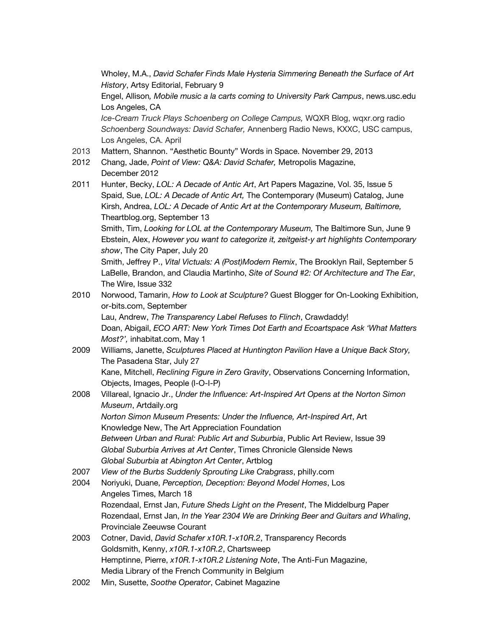Wholey, M.A., *David Schafer Finds Male Hysteria Simmering Beneath the Surface of Art History*, Artsy Editorial, February 9

Engel, Allison*, Mobile music a la carts coming to University Park Campus*, news.usc.edu Los Angeles, CA

*Ice-Cream Truck Plays Schoenberg on College Campus,* WQXR Blog, wqxr.org radio *Schoenberg Soundways: David Schafer,* Annenberg Radio News, KXXC, USC campus, Los Angeles, CA. April

- 2013 Mattern, Shannon. "Aesthetic Bounty" Words in Space. November 29, 2013
- 2012 Chang, Jade, *Point of View: Q&A: David Schafer,* Metropolis Magazine, December 2012
- 2011 Hunter, Becky, *LOL: A Decade of Antic Art*, Art Papers Magazine, Vol. 35, Issue 5 Spaid, Sue, *LOL: A Decade of Antic Art,* The Contemporary (Museum) Catalog, June Kirsh, Andrea, *LOL: A Decade of Antic Art at the Contemporary Museum, Baltimore,*  Theartblog.org, September 13 Smith, Tim, *Looking for LOL at the Contemporary Museum,* The Baltimore Sun, June 9

Ebstein, Alex, *However you want to categorize it, zeitgeist-y art highlights Contemporary show*, The City Paper, July 20

Smith, Jeffrey P., *Vital Victuals: A (Post)Modern Remix*, The Brooklyn Rail, September 5 LaBelle, Brandon, and Claudia Martinho, *Site of Sound #2: Of Architecture and The Ear*, The Wire, Issue 332

- 2010 Norwood, Tamarin, *How to Look at Sculpture?* Guest Blogger for On-Looking Exhibition, or-bits.com, September Lau, Andrew, *The Transparency Label Refuses to Flinch*, Crawdaddy! Doan, Abigail, *ECO ART: New York Times Dot Earth and Ecoartspace Ask 'What Matters Most?',* inhabitat.com, May 1
- 2009 Williams, Janette, *Sculptures Placed at Huntington Pavilion Have a Unique Back Story,*  The Pasadena Star, July 27 Kane, Mitchell, *Reclining Figure in Zero Gravity*, Observations Concerning Information, Objects, Images, People (I-O-I-P)
- 2008 Villareal, Ignacio Jr., *Under the Influence: Art-Inspired Art Opens at the Norton Simon Museum*, Artdaily.org *Norton Simon Museum Presents: Under the Influence, Art-Inspired Art*, Art Knowledge New, The Art Appreciation Foundation *Between Urban and Rural: Public Art and Suburbia*, Public Art Review, Issue 39 *Global Suburbia Arrives at Art Center*, Times Chronicle Glenside News *Global Suburbia at Abington Art Center*, Artblog
- 2007 *View of the Burbs Suddenly Sprouting Like Crabgrass*, philly.com
- 2004 Noriyuki, Duane, *Perception, Deception: Beyond Model Homes*, Los Angeles Times, March 18 Rozendaal, Ernst Jan, *Future Sheds Light on the Present*, The Middelburg Paper Rozendaal, Ernst Jan, *In the Year 2304 We are Drinking Beer and Guitars and Whaling*, Provinciale Zeeuwse Courant
- 2003 Cotner, David, *David Schafer x10R.1-x10R.2*, Transparency Records Goldsmith, Kenny, *x10R.1-x10R.2*, Chartsweep Hemptinne, Pierre, *x10R.1-x10R.2 Listening Note*, The Anti-Fun Magazine, Media Library of the French Community in Belgium
- 2002 Min, Susette, *Soothe Operator*, Cabinet Magazine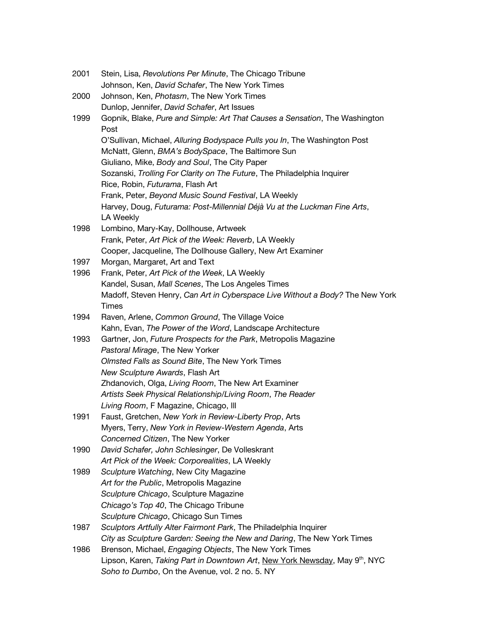2001 Stein, Lisa, *Revolutions Per Minute*, The Chicago Tribune Johnson, Ken, *David Schafer*, The New York Times 2000 Johnson, Ken, *Photasm*, The New York Times Dunlop, Jennifer, *David Schafer*, Art Issues 1999 Gopnik, Blake, *Pure and Simple: Art That Causes a Sensation*, The Washington Post O'Sullivan, Michael, *Alluring Bodyspace Pulls you In*, The Washington Post McNatt, Glenn, *BMA's BodySpace*, The Baltimore Sun Giuliano, Mike, *Body and Soul*, The City Paper Sozanski, *Trolling For Clarity on The Future*, The Philadelphia Inquirer Rice, Robin, *Futurama*, Flash Art Frank, Peter, *Beyond Music Sound Festival*, LA Weekly Harvey, Doug, *Futurama: Post-Millennial Déjà Vu at the Luckman Fine Arts*, LA Weekly 1998 Lombino, Mary-Kay, Dollhouse, Artweek Frank, Peter, *Art Pick of the Week: Reverb*, LA Weekly Cooper, Jacqueline, The Dollhouse Gallery, New Art Examiner 1997 Morgan, Margaret, Art and Text 1996 Frank, Peter, *Art Pick of the Week*, LA Weekly Kandel, Susan, *Mall Scenes*, The Los Angeles Times Madoff, Steven Henry, *Can Art in Cyberspace Live Without a Body?* The New York Times 1994 Raven, Arlene, *Common Ground*, The Village Voice Kahn, Evan, *The Power of the Word*, Landscape Architecture 1993 Gartner, Jon, *Future Prospects for the Park*, Metropolis Magazine *Pastoral Mirage*, The New Yorker *Olmsted Falls as Sound Bite*, The New York Times *New Sculpture Awards*, Flash Art Zhdanovich, Olga, *Living Room*, The New Art Examiner *Artists Seek Physical Relationship/Living Room*, *The Reader Living Room*, F Magazine, Chicago, Ill 1991 Faust, Gretchen, *New York in Review-Liberty Prop*, Arts Myers, Terry, *New York in Review-Western Agenda*, Arts *Concerned Citizen*, The New Yorker 1990 *David Schafer, John Schlesinger*, De Volleskrant *Art Pick of the Week: Corporealities*, LA Weekly 1989 *Sculpture Watching*, New City Magazine *Art for the Public*, Metropolis Magazine *Sculpture Chicago*, Sculpture Magazine *Chicago's Top 40*, The Chicago Tribune *Sculpture Chicago*, Chicago Sun Times 1987 *Sculptors Artfully Alter Fairmont Park*, The Philadelphia Inquirer *City as Sculpture Garden: Seeing the New and Daring*, The New York Times 1986 Brenson, Michael, *Engaging Objects*, The New York Times Lipson, Karen, *Taking Part in Downtown Art*, New York Newsday, May 9<sup>th</sup>, NYC *Soho to Dumbo*, On the Avenue, vol. 2 no. 5. NY